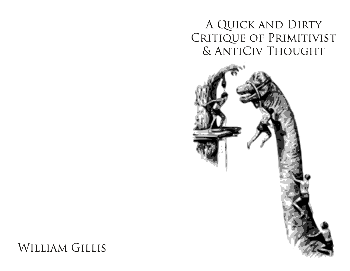# A QUICK AND DIRTY CRITIQUE OF PRIMITIVIST **& ANTICIV THOUGHT**



WILLIAM GILLIS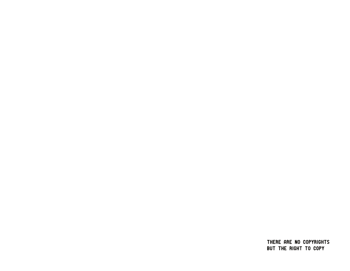THERE ARE NO COPYRIGHTS BUT THE RIGHT TO COPY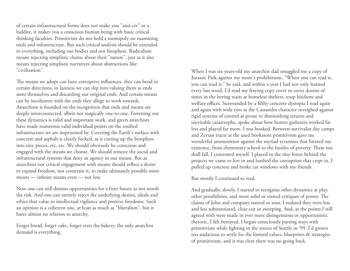of certain infrastructural forms does not make you "anti-civ" or a luddite, it makes you a conscious human being with basic critical thinking faculties. Primitivists do not hold a monopoly on examining tools and infrastructure. But such critical analysis should be extended to everything, including our bodies and our biosphere. Radicalism means rejecting simplistic claims about their "nature", just as it also means rejecting simplistic narratives about abstractions like "civilization".

The means we adopt can have corruptive influences, they can bend in certain directions, in laziness we can slip into valuing them as ends unto themselves and discarding our original ends. And certain means can be incoherent with the ends they allege to work towards. Anarchism is founded on the recognition that ends and means are deeply interconnected, albeit not magically one-to-one. Ferretting out these dynamics is valid and important work, and green anarchists have made numerous valid individual points on the ossified infrastructure we are imprisoned by. Covering the Earth's surface with concrete and asphalt is clearly fucked, as is cutting up the biosphere into tiny pieces, etc, etc. We should obviously be conscious and engaged with the means we choose. We should remove the social and infrastructural systems that deny us agency in our means. But as anarchists our critical engagement with means should reflect a desire to expand freedom, not constrain it, to make ultimately possible more means — infinite means even — not less.

Now one can still dismiss opportunities for a freer future as not worth the risk. And one can entirely reject the underlying desires, ideals and ethics that value to intellectual vigilance and positive freedoms. Such an opinion is a coherent one, at least as much as "liberalism", but it bares almost no relation to anarchy.

Forget bread, forget cake, forget even the bakery, the only anarchist demand is everything.

When I was six-years-old my anarchist dad smuggled me a copy of Jurassic Park against my mom's prohibitions. "When you can read it, you can read it," he said, and within a year I had not only learned every last word, I'd read my fraying copy cover to cover dozens of times in the boring waits at homeless shelters, soup kitchens and welfare offices. Surrounded by a filthy concrete dystopia I read again and again with wide eyes as the Cassandra character inveighed against rigid systems of control as prone to diminishing returns and inevitable catastrophe, spoke about how hunter gatherers worked far less and played far more. I was hooked. Between survivalist day camps and Zerzan tracts at the used bookstore primitivism gave me wonderful ammunition against the myriad tyrannies that littered my existence, from elementary school to the hustles of poverty. These too shall fall, I contented myself. I played in the tiny forest behind the projects we came to live in and loathed the corruption that crept in. I pulled up concrete and broke car windows with my friends.

#### But mostly I continued to read.

And gradually, slowly, I started to recognize other dynamics at play, other possibilities, and more solid or rooted critiques of power. The claims of John and company started to sour. I realized they were less and less substantiated, clear-cut or sweeping. And, as the points I still agreed with were made in ever more disingenuous or opportunistic rhetoric, I felt betrayed. I began consciously parting ways with primitivism while fighting in the streets of Seattle in '99. I'd grown too audacious to settle for the limited values, blueprints & strategies of primitivism, and it was clear there was no going back.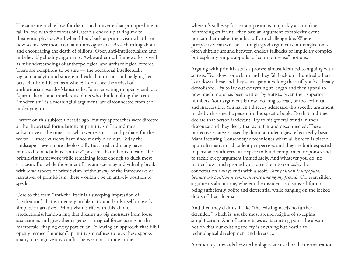The same insatiable love for the natural universe that prompted me to fall in love with the forests of Cascadia ended up taking me to theoretical physics. And when I look back at primitivism what I see now seems ever more cold and unrecognizable. Bros chortling about and encouraging the death of billions. Open anti-intellectualism and unbelievably shoddy arguments. Awkward ethical frameworks as well as misunderstandings of anthropological and archaeological records. There are exceptions to be sure — the occasional intellectually vigilant, analytic and sincere individual burnt out and hedging her bets. But Primitivism as a whole? I don't see the arrival of authoritarian psuedo-Maoist cults, John retreating to openly embrace "spiritualism", and murderous idiots who think lobbing the term "modernism" is a meaningful argument, are disconnected from the underlying rot.

I wrote on this subject a decade ago, but my approaches were directed at the theoretical formulations of primitivism I found most substantive at the time. For whatever reason — and perhaps for the worse — those currents have since mostly died out. Today the landscape is even more ideologically fractured and many have retreated to a nebulous "anti-civ" position that inherits most of the primitivist framework while remaining loose enough to duck most criticism. But while those identify as anti-civ may individually break with *some* aspects of primitivism, without *any* of the frameworks or narratives of primitivism, there wouldn't be an anti-civ position to speak.

Core to the term "anti-civ" itself is a sweeping impression of "civilization" that is intensely problematic and lends itself to overly simplistic narratives. Primitivism is rife with this kind of irreductionist handwaving that dreams up big monsters from loose associations and gives them agency as magical forces acting on the macroscale, shaping every particular. Following an approach that Ellul openly termed "monism", primitivism refuses to pick these spooks apart, to recognize any conflict between or latitude in the

where it's still easy for certain positions to quickly accumulate reinforcing cruft until they pass an argument-complexity event horizon that makes them basically unchallengeable. Where perspectives can win not through good arguments but tangled ones; often shifting around between endless fallbacks or implicitly complex but explicitly simple appeals to "common sense" notions.

Arguing with primitivists is a process almost identical to arguing with statists. Tear down one claim and they fall back on a hundred others. Tear down those and they start again invoking the stuff you've already demolished. Try to lay out everything at length and they appeal to how much more has been written by statists, given their superior numbers. Your argument is now too long to read, or too technical and inaccessible. You haven't directly addressed this specific argument made by this specific person in this specific book. Do that and they declare that person irrelevant. Try to hit general trends in their discourse and they decry that as unfair and disconnected. These protective strategies used by dominant ideologies reflect really basic Manufacturing Consent style techniques where all burden is placed upon alternative or dissident perspectives and they are both expected to persuade with very little space to build complicated responses and to tackle every argument immediately. And whatever you do, no matter how much ground you force them to concede, the conversation always ends with a scoff. *Your position is unpopular because my position is common sense among my friends.* Or, even sillier, arguments about tone, wherein the dissident is dismissed for not being sufficiently polite and deferential while banging on the locked doors of their dogma.

And then they claim shit like "the existing needs no further defenders" which is just the most absurd heights of sweeping simplification. And of course takes as its starting point the absurd notion that our existing society is anything but hostile to technological development and diversity.

A critical eye towards how technologies are used or the normalization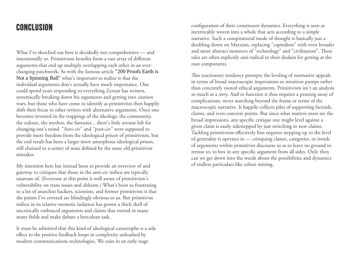### Conclusion

What I've sketched out here is decidedly not comprehensive — and intentionally so. Primitivism benefits from a vast array of different arguments that end up multiply overlapping each other in an everchanging patchwork. As with the famous article **"**200 Proofs Earth is Not a Spinning Ball" what's important to realize is that the individual arguments don't actually have much importance. One could spend years responding to everything Zerzan has written, systemically breaking down his arguments and getting into citation wars, but those who have come to identify as primitivists then happily shift their focus to other writers with alternative arguments. Once one becomes invested in the trappings of the ideology, the community, the culture, the mythos, the fantasies... there's little avenue left for changing one's mind. "Anti-civ" and "post-civ" were supposed to provide more freedom from the ideological prison of primitivism, but the end result has been a larger more amorphous ideological prison, still chained to a center of mass defined by the same old primitivist mistakes.

My intention here has instead been to provide an overview of and gateway to critiques that those in the anti-civ milieu are typically unaware of. (Everyone at this point is well aware of primitivism's vulnerability on trans issues and ableism.) What's been so frustrating to a lot of anarchist hackers, scientists, and former primitivists is that the points I've covered are blindingly obvious to us. But primitivist milieu in its relative memetic isolation has grown a thick shell of uncritically embraced arguments and claims that extend in many many fields and make debate a herculean task.

It must be admitted that this kind of ideological catastrophe is a side effect to the positive feedback loops in complexity unleashed by modern communications technologies. We exist in an early stage

configuration of their constituent dynamics. Everything is seen as inextricably woven into a whole that acts according to a simple narrative. Such a conspiratorial mode of thought is basically just a doubling down on Marxism, replacing "capitalism" with even broader and more abstract monsters of "technology" and "civilization". These tales are often explicitly anti-radical in their disdain for getting at the root components.

This reactionary tendency prompts the leveling of normative appeals in terms of broad macroscopic impressions or intuition pumps rather than concretely rooted ethical arguments. Primitivism isn't an analysis so much as a *story*. And to function it thus requires a pruning away of complications, never searching beyond the frame or terms of the macroscopic narrative. It happily collects piles of supporting factoids, claims, and even concrete points. But since what matters most are the broad impressions, any specific critique one might level against a given claim is easily sidestepped by just switching to new claims. Tackling primitivism effectively first requires stepping up to the level of generality it operates in — critiquing classes, categories, or trends of arguments within primitivist discourse so as to leave no ground to retreat to, to box in any specific argument from all sides. Only then can we get down into the weeds about the possibilities and dynamics of endless particulars like coltan mining.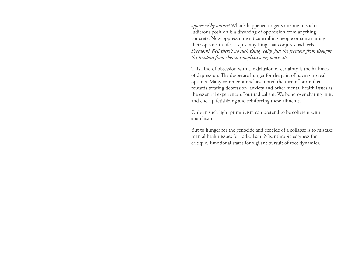*oppressed by nature!* What's happened to get someone to such a ludicrous position is a divorcing of oppression from anything concrete. Now oppression isn't controlling people or constraining their options in life, it's just anything that conjures bad feels. *Freedom? Well there's no such thing really. Just the freedom from thought, the freedom from choice, complexity, vigilance, etc.*

This kind of obsession with the delusion of certainty is the hallmark of depression. The desperate hunger for the pain of having no real options. Many commentators have noted the turn of our milieu towards treating depression, anxiety and other mental health issues as the essential experience of our radicalism. We bond over sharing in it; and end up fetishizing and reinforcing these ailments.

Only in such light primitivism can pretend to be coherent with anarchism.

But to hunger for the genocide and ecocide of a collapse is to mistake mental health issues for radicalism. Misanthropic edginess for critique. Emotional states for vigilant pursuit of root dynamics.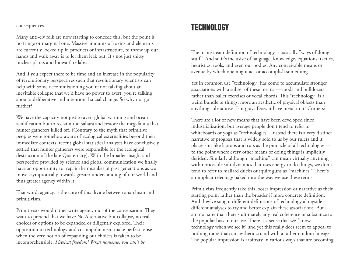consequences.

Many anti-civ folk are now starting to concede this, but the point is no fringe or marginal one. Massive amounts of toxins and elements are currently locked up in products or infrastructure, to throw up our hands and walk away is to let them leak out. It's not just shitty nuclear plants and biowarfare labs.

And if you expect there to be time and an increase in the popularity of revolutionary perspectives such that revolutionary scientists can help with some decommissioning you're not talking about an inevitable collapse that we'd have no power to avert, you're talking about a deliberative and intentional social change. So why not go further?

We have the capacity not just to avert global warming and ocean acidification but to reclaim the Sahara and restore the megafauna that hunter gatherers killed off. (Contrary to the myth that primitive peoples were somehow aware of ecological externalities beyond their immediate contexts, recent global statistical analyses have conclusively settled that hunter gatherers were responsible for the ecological destruction of the late Quaternary). With the broader insight and perspective provided by science and global communication we finally have an opportunity to repair the mistakes of past generations as we move asymptotically towards greater understanding of our world and thus greater agency within it.

That word, agency, is the core of this divide between anarchism and primitivism.

Primitivists would rather write agency our of the conversation. They want to pretend that we have No Alternative but collapse, no real choices or options to be expanded or diligently explored. Their opposition to technology and cosmopolitanism make perfect sense when the very notion of expanding our choices is taken to be incomprehensible. *Physical freedom? What nonsense, you can't be* 

### Technology

The mainstream definition of technology is basically "ways of doing stuff." And so it's inclusive of language, knowledge, equations, tactics, heuristics, tools, and even our bodies. Any conceivable means or avenue by which one might act or accomplish something.

Yet in common use "technology" has come to accumulate stronger associations with a subset of these means — ipods and bulldozers rather than ballet exercises or vocal chords. This "technology" is a weird bundle of things, more an aesthetic of physical objects than anything substantive. Is it gray? Does it have metal in it? Corners?

There are a lot of new means that have been developed since industrialization, but average people don't tend to refer to whiteboards or yoga as "technologies". Instead there is a very distinct narrative of progress that is widely sold to us by our rulers and it places shit like laptops and cars as the pinnacle of all technologies to the point where every other means of doing things is implicitly derided. Similarly although "machine" can mean virtually anything with noticeable sub-dynamics that uses energy to do things, we don't tend to refer to mallard ducks or squirt guns as "machines." There's an implicit teleology baked into the way we use these terms.

Primitivists frequently take this looser impression or narrative as their starting point rather than the broader if more concrete definition. And they've sought different definitions of technology alongside different analyses to try and better explain these associations. But I am not sure that there's ultimately any real coherence or substance to the popular bias in our use. There is a sense that we "know technology when we see it" and yet this really does seem to appeal to nothing more than an aesthetic strand with a rather random lineage. The popular impression is arbitrary in various ways that are becoming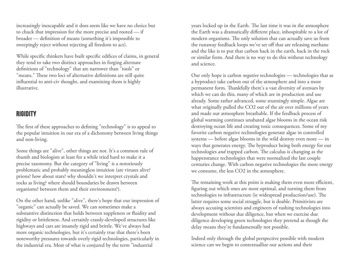increasingly inescapable and it does seem like we have no choice but to chuck that impression for the more precise and rooted — if broader — definition of means (something it's impossible to sweepingly reject without rejecting all freedom to act).

While specific thinkers have built specific edifices of claims, in general they tend to take two distinct approaches in forging alternate definitions of "technology" that are narrower than "tools" or "means." These two loci of alternative definitions are still quite influential to anti-civ thought, and examining them is highly illustrative.

### **RIGIDITY**

The first of these approaches to defining "technology" is to appeal to the popular intuition in our era of a dichotomy between living things and non-living.

Some things are "alive", other things are not. It's a common rule of thumb and biologists at least for a while tried hard to make it a precise taxonomy. But the category of "living" is a notoriously problematic and probably meaningless intuition (are viruses alive? prions? how about stars? why shouldn't we interpret crystals and rocks as living? where should boundaries be drawn between organisms? between them and their environment?).

On the other hand, unlike "alive", there's hope that our impression of "organic" can actually be saved. We can sometimes make a substantive distinction that holds between suppleness or fluidity and rigidity or brittleness. And certainly crassly-developed structures like highways and cars are insanely rigid and brittle. We've always had more organic technologies, but it's certainly true that there's been noteworthy pressures towards overly rigid technologies, particularly in the industrial era. Most of what is conjured by the term "industrial

years locked up in the Earth. The last time it was in the atmosphere the Earth was a dramatically different place, inhospitable to a lot of modern organisms. The only solution that can actually save us from the runaway feedback loops we've set off that are releasing methane and the like is to put that carbon back in the earth, back in the rock or similar form. And there is no way to do this without technology and science.

Our only hope is carbon *negative* technologies — technologies that as a byproduct take carbon out of the atmosphere and into a more permanent form. Thankfully there's a vast diversity of avenues by which we can do this, many of which are in production and use already. Some rather advanced, some stunningly simple. Algae are what originally pulled the CO2 out of the air over millions of years and made our atmosphere breathable. If the feedback process of global warming continues unabated algae blooms in the ocean risk destroying ocean life and creating toxic consequences. Some of my favorite carbon negative technologies generate algae in controlled systems — before algae blooms in the wild destroy even more — in ways that generates energy. The byproduct being both energy for our technologies *and* trapped carbon. The calculus is changing as the happenstance technologies that were normalized the last couple centuries change. With carbon negative technologies the more energy we consume, the less CO2 in the atmosphere.

The remaining work at this point is making them even more efficient, figuring out which ones are most optimal, and turning them from technologies to infrastructure (ie widespread production/use). The latter requires some social struggle, but is doable. Primitivists are always accusing scientists and engineers of rushing technologies into development without due diligence, but when we exercise due diligence developing green technologies they pretend as though the delay means they're fundamentally not possible.

Indeed only through the global perspective possible with modern science can we begin to contextuallize our actions and their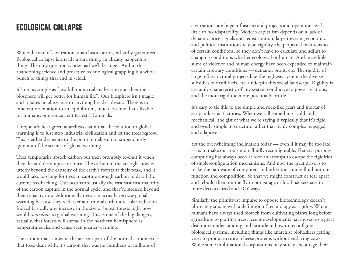### Ecological Collapse

While the end of civilization, anarchistic or not, is hardly guaranteed. Ecological collapse is already a sure thing, an already happening thing. The only question is how bad we'll let it get. And in this abandoning science and proactive technological grappling is a whole bunch of things that end in -cidal.

It's not as simple as "just kill industrial civilization and then the biosphere will get better for human life". Our biosphere isn't magic and it bares no allegiance to anything besides physics. There is no inherent orientation to an equilibrium, much less one that's livable for humans, or even current terrestrial animals.

I frequently hear green anarchists claim that the solution to global warming is to just stop industrial civilization and let the trees regrow. This is either desperate to the point of delusion or stupendously ignorant of the science of global warming.

Trees temporarily absorb carbon but then promptly re-emit it when they die and decompose or burn. The carbon in the air right now is utterly beyond the capacity of the earth's forests at their peak, and it would take too long for trees to capture enough carbon to derail the current feedbacking. Our oceans are usually the vast vast vast majority of the carbon capture in the normal cycle, and they're stressed beyond their capacity now. Additionally trees can actually *increase* global warming because they're darker and thus absorb more solar radiation. Indeed basically any increase in the size of boreal forests right now would *contribute* to global warming. This is one of the big dangers, actually, that forests will spread in the northern hemisphere as temperatures rise and cause even greater warming.

The carbon that is now in the air isn't part of the normal carbon cycle that trees dealt with, it's carbon that was for hundreds of millions of

civilization" are huge infrastructural projects and operations with little to no adaptability. Modern capitalism depends on a lack of dynamic price signals and redistribution; large towering economic and political institutions rely on rigidity, the perpetual maintenance of certain conditions, so they don't have to calculate and adjust to changing conditions whether ecological or human. And incredible sums of violence and human energy have been expended to maintain certain arbitrary conditions — demand, profit, etc. The rigidity of large infrastructural projects like the highway system, the diverse subsidies of fossil fuels, etc, underpin this social landscape. Rigidity is certainly characteristic of any system conducive to power relations, and the more rigid the more potentially brittle.

It's easy to tie this to the simple and rock-like gears and mortar of early industrial factories. When we call something "cold and mechanical" the gist of what we're saying is typically that it's rigid and overly simple in structure rather that richly complex, engaged and adaptive.

Yet the overwhelming inclination today — even if it may be too late — is to make our tools more fluidly reconfigurable. General purpose computing has always been at root an attempt to escape the rigidities of single-configuration mechanisms. And now the great drive is to make the hardware of computers and other tools more fluid both in function and composition. So that we might construct or tear apart and rebuild them on the fly in our garage or local hackerspace in more decentralized and DIY ways.

Similarly the primitivist impulse to oppose biotechnology doesn't ultimately square with a definition of technology as rigidity. While humans have always used biotech from cultivating plants long before agriculture to grafting trees, recent developments have given us a great deal more understanding and latitude in how to reconfigure biological systems, including things like anarchist biohackers getting yeast to produce critical cheese proteins without enslaving cows. While some multinational corporations may surely encourage their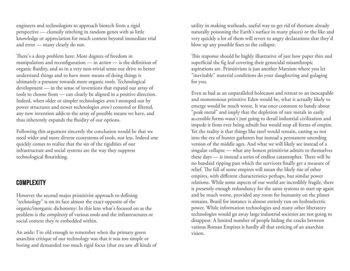engineers and technologists to approach biotech from a rigid perspective — clumsily stitching in random genes with as little knowledge or appreciation for much context beyond immediate trial and error — many clearly do not.

There's a deep problem here: More degrees of freedom in manipulation and reconfiguration — in *action* — is the definition of organic fluidity, and so in a very non-trivial sense our drive to better understand things and to have more means of doing things is ultimately a pressure towards more organic tools. Technological development — in the sense of inventions that expand our array of tools to choose from — can clearly be aligned in a positive direction. Indeed, when older or simpler technologies *aren't* stomped out by power structures and newer technologies *aren't* censored or filtered, any new invention adds to the array of possible means we have, and thus inherently expands the fluidity of our options.

Following this argument sincerely the conclusion would be that we need wider and more diverse ecosystems of tools, not less. Indeed one quickly comes to realize that the sin of the rigidities of our infrastructure and social systems are the way they suppress technological flourishing.

#### **COMPLEXITY**

However the second major primitivist approach to defining "technology" is on its face almost the exact opposite of the organic/inorganic dichotomy: In this lens what's focused on as the problem is the *complexity* of various tools and the infrastructures or social context they're embedded within.

An aside: I'm old enough to remember when the primary green anarchist critique of our technology was that it was too simple or boring and demanded too much rigid focus (that era saw all kinds of utility in making warheads, useful way to get rid of thorium already naturally poisoning the Earth's surface in many places) or the like and very quickly a lot of them will revert to angry declarations that they'd blow up any possible fixes to the collapse.

This response should be highly illustrative of just how paper thin and superficial the fig leaf covering their genocidal misanthropic aspirations are. Primitivism is just another Marxism where you let "inevitable" material conditions do your slaughtering and gulaging for you.

Even as bad as an unparalleled holocaust and retreat to an inescapable and monotonous primitive Eden would be, what is actually likely to emerge would be much worse. It was once common to bandy about "peak metal" and imply that the depletion of rare metals in easily accessible forms wasn't just going to derail industrial civilization and impede it from ever being rebuilt but would stop all forms of empire. Yet the reality is that things like steel would remain, casting us not into the era of hunter gatherers but instead a permanent unending version of the middle ages. And what we will likely see instead of a singular collapse — what any honest primitivist admits to themselves these days — is instead a series of endless catastrophes. There will be no bandaid ripping past which the survivors finally get a measure of relief. The fall of some empires will mean the likely rise of other empires, with different characteristics perhaps, but similar power relations. While some aspects of our world are incredibly fragile, there is presently enough redundancy for the same systems to start up again and be much worse, provided any room for humanity on the planet remains. Brazil for instance is almost entirely run on hydroelectric power. While information technologies and many other liberatory technologies would go away large industrial societies are not going to disappear. A limited number of people hiding the cracks between various Roman Empires is hardly all that enticing of an anarchist vision.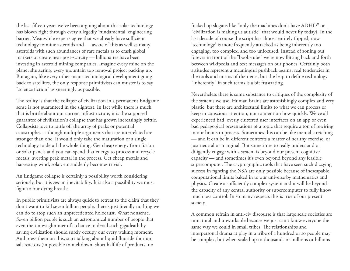the last fifteen years we've been arguing about this solar technology has blown right through every allegedly 'fundamental' engineering barrier. Meanwhile experts agree that we already have sufficient technology to mine asteroids and — aware of this as well as many asteroids with such abundances of rare metals as to crash global markets or create near post-scarcity — billionaires have been investing in asteroid mining companies. Imagine every mine on the planet shuttering, every mountain top removal project packing up. But again, like every other major technological development going back to satellites, the only response primitivists can muster is to say "science fiction" as sneeringly as possible.

The reality is that the collapse of civilization in a permanent Endgame sense is not guaranteed in the slightest. In fact while there is much that is brittle about our current infrastructure, it is the supposed guarantee of civilization's collapse that has grown increasingly brittle. Collapsists love to rattle off the array of peaks or potential catastrophes as though multiple arguments that are interrelated are stronger than one. It would only take the maturation of a single technology to derail the whole thing. Get cheap energy from fusion or solar panels and you can spend that energy to process and recycle metals, averting peak metal in the process. Get cheap metals and harvesting wind, solar, etc suddenly becomes trivial.

An Endgame collapse is certainly a possibility worth considering seriously, but it is *not* an inevitability. It is also a possibility we must fight to our dying breaths.

In public primitivists are always quick to retreat to the claim that they don't want to kill seven billion people, there's just literally nothing we can do to stop such an unprecedented holocaust. What nonsense. Seven billion people is such an astronomical number of people that even the tiniest glimmer of a chance to derail such gigadeath by saving civilization should surely occupy our every waking moment. And press them on this, start talking about liquid fluoride thorium salt reactors (impossible to meltdown, short halflife of products, no

fucked up slogans like "only the machines don't have ADHD" or "civilization is making us autistic" that would never fly today). In the last decade of course the script has almost entirely flipped; now 'technology' is more frequently attacked as being inherently too engaging, too complex, and too unfocused. Instead of zoning out forever in front of the "boob-tube" we're now flitting back and forth between wikipedia and text messages on our phones. Certainly both attitudes represent a meaningful pushback against real tendencies in the tools and norms of their eras, but the leap to define technology "inherently" in such terms is a bit frustrating.

Nevertheless there is some substance to critiques of the complexity of the systems we use. Human brains are astonishingly complex and very plastic, but there are architectural limits to what we can process or keep in conscious attention, not to mention how quickly. We've all experienced bad, overly cluttered user interfaces on an app or even bad pedagogical presentations of a topic that require a ton of rewiring in our brains to process. Sometimes this can be like mental stretching — and it can be in different contexts a matter of healthy exercise, or just neutral or marginal. But sometimes to really understand or diligently engage with a system is beyond our present cognitive capacity — and sometimes it's even beyond beyond any feasible supercomputer. The cryptographic tools that have seen such dizzying success in fighting the NSA are only possible because of inescapable computational limits baked in to our universe by mathematics and physics. Create a sufficiently complex system and it will be beyond the capacity of any central authority or supercomputer to fully know much less control. In so many respects this is true of our present society.

A common refrain in anti-civ discourse is that large scale societies are unnatural and unworkable because we just can't know everyone the same way we could in small tribes. The relationships and interpersonal drama at play in a tribe of a hundred or so people may be complex, but when scaled up to thousands or millions or billions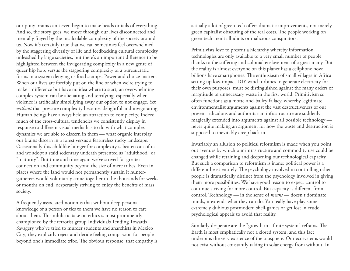our puny brains can't even begin to make heads or tails of everything. And so, the story goes, we move through our lives disconnected and mentally frayed by the incalculable complexity of the society around us. Now it's certainly true that we can sometimes feel overwhelmed by the staggering diversity of life and feedbacking cultural complexity unleashed by large societies, but there's an important difference to be highlighted between the invigorating complexity in a new genre of queer hip hop, versus the staggering complexity of a bureaucratic forms in a system denying us food stamps. Power and choice matters. When our lives are forcibly put on the line or when we're trying to make a difference but have no idea where to start, an overwhelming complex system can be alienating and terrifying, especially when violence is artificially simplifying away our option to not engage. Yet *without* that pressure complexity becomes delightful and invigorating. Human beings have always held an attraction to complexity. Indeed much of the cross-cultural tendencies we consistently display in response to different visual media has to do with what complex dynamics we are able to discern in them — what organic interplay our brains discern in a forest versus a featureless rocky landscape. Occasionally this childlike hunger for complexity is beaten out of us and we adopt a staid sedentary undeath presented as "adulthood" or "maturity". But time and time again we've strived for greater connection and community beyond the size of mere tribes. Even in places where the land would not permanently sustain it huntergatherers would voluntarily come together in the thousands for weeks or months on end, desperately striving to enjoy the benefits of mass society.

A frequently associated notion is that without deep personal knowledge of a person or ties to them we have no reason to care about them. This nihilistic take on ethics is most prominently championed by the terrorist group Individuals Tending Towards Savagery who've tried to murder students and anarchists in Mexico City; they explicitly reject and deride feeling compassion for people beyond one's immediate tribe. The obvious response, that empathy is actually a lot of green tech offers dramatic improvements, not merely green capitalist obscuring of the real costs. The people working on green tech aren't all idiots or malicious conspirators.

Primitivists love to present a hierarchy whereby information technologies are only available to a very small number of people thanks to the suffering and colonial enslavement of a great many. But the reality is almost everyone on this planet has a cellphone now; billions have smartphones. The enthusiasm of small villages in Africa setting up low-impact DIY wind turbines to generate electricity for their own purposes, must be distinguished against the many orders of magnitude of unnecessary waste in the first world. Primitivism so often functions as a motte-and-bailey fallacy, whereby legitimate environmentalist arguments against the vast destructiveness of our present ridiculous and authoritarian infrastructure are suddenly magically extended into arguments against all possible technology never quite making an argument for how the waste and destruction is supposed to inevitably creep back in.

Invariably an allusion to political reformism is made when you point out avenues by which our infrastructure and commodity use could be changed while retaining and deepening our technological capacity. But such a comparison to reformism is inane; political power is a different beast entirely. The psychology involved in controlling other people is dramatically distinct from the psychology involved in giving them more possibilities. We have good reason to expect control to continue striving for more control. But capacity is different from control. Technology — in the sense of *means* — doesn't dominate minds, it extends what they can do. You really have play some extremely dubious postmodern shell-games or get lost in crude psychological appeals to avoid that reality.

Similarly desperate are the "growth in a finite system" refrains. The Earth is most emphatically not a closed system, and this fact underpins the very existence of the biosphere. Our ecosystems would not exist without constantly taking in solar energy from without. In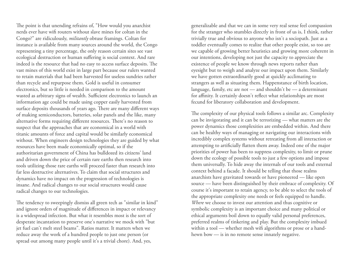The point is that unending refrains of, "How would you anarchist nerds ever have wifi routers without slave mines for coltan in the Congo?" are ridiculously, *militantly* obtuse framings. Coltan for instance is available from many sources around the world, the Congo representing a tiny percentage, the only reason certain sites see vast ecological destruction or human suffering is social context. And rare indeed is the resource that had no easy to access surface deposits. The vast mines of this world exist in large part because our rulers wanted to retain materials that had been harvested for useless sundries rather than recycle and repurpose them. Gold is useful in consumer electronics, but so little is needed in comparison to the amount wasted as arbitrary signs of wealth. Sufficient electronics to launch an information age could be made using copper easily harvested from surface deposits thousands of years ago. There are many different ways of making semiconductors, batteries, solar panels and the like, many alternative forms requiring different resources. There's no reason to suspect that the approaches that are economical in a world with titanic amounts of force and capital would be similarly economical without. When engineers design technologies they are guided by what resources have been made economically optimal, so if the authoritarian government of China has bulldozed its citizens' land and driven down the price of certain rare earths then research into tools utilizing those rare earths will proceed faster than research into far less destructive alternatives. To claim that social structures and dynamics have no impact on the progression of technologies is insane. And radical changes to our social structures would cause radical changes to our technologies.

The tendency to sweepingly dismiss all green tech as "similar in kind" and ignore orders of magnitude of differences in impact or relevancy is a widespread infection. But what it resembles most is the sort of desperate incantation to preserve one's narrative we mock with "but jet fuel can't melt steel beams". Ratios matter. It matters when we reduce away the work of a hundred people to just one person (or spread out among many people until it's a trivial chore). And, yes,

generalizable and that we can in some very real sense feel compassion for the stranger who stumbles directly in front of us is, I think, rather trivially true and obvious to anyone who isn't a sociopath. Just as a toddler eventually comes to realize that other people exist, so too are we capable of growing better heuristics and growing more coherent in our intentions, developing not just the capacity to appreciate the existence of people we know through news reports rather than eyesight but to weigh and analyze our impact upon them. Similarly we have gotten extraordinarily good at quickly acclimating to strangers as well as situating them. Happenstance of birth location, language, family, etc are not — and shouldn't be — a determinant for affinity. It certainly doesn't reflect what relationships are most fecund for liberatory collaboration and development.

The complexity of our physical tools follows a similar arc. Complexity can be invigorating and it can be terrorizing — what matters are the power dynamics those complexities are embedded within. And there can be healthy ways of managing or navigating our interactions with incredibly complex systems without retreating from all interaction or attempting to artificially flatten them away. Indeed one of the major priorities of power has been to suppress complexity, to limit or prune down the ecology of possible tools to just a few options and impose them universally. To hide away the internals of our tools and external context behind a facade. It should be telling that those realms anarchists have gravitated towards or have pioneered — like open source — have been distinguished by their embrace of complexity. Of course it's important to retain agency, to be able to select the tools of the appropriate complexity one needs or feels equipped to handle. *Where* we choose to invest our attention and thus cognitive or symbolic complexity is an important choice and many political or ethical arguments boil down to equally valid personal preferences, preferred realms of tinkering and play. But the complexity imbued within a tool — whether mesh wifi algorithms or prose or a handhewn bow — is in no remote sense innately negative.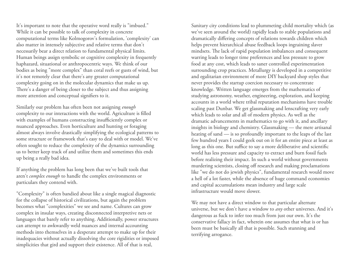It's important to note that the operative word really is "imbued." While it can be possible to talk of complexity in concrete computational terms like Kolmogorov's formulation, 'complexity' can also matter in intensely subjective and relative terms that don't necessarily bear a direct relation to fundamental physical limits. Human beings assign symbolic or cognitive complexity in frequently haphazard, situational or anthropocentric ways. We think of our bodies as being "more complex" than coral reefs or gusts of wind, but it's not remotely clear that there's any greater computational complexity going on in the molecular dynamics that make us up. There's a danger of being closer to the subject and thus assigning more attention and conceptual signifiers to it.

Similarly our problem has often been not assigning *enough* complexity to our interactions with the world. Agriculture is filled with examples of humans constructing insufficiently complex or nuanced approaches. Even horticulture and hunting or foraging almost always involve drastically simplifying the ecological patterns to some structure or framework that's easy to deal with or model. We've often sought to reduce the complexity of the dynamics surrounding us to better keep track of and utilize them and sometimes this ends up being a really bad idea.

If anything the problem has long been that we've built tools that aren't *complex enough* to handle the complex environments or particulars they contend with.

"Complexity" is often bandied about like a single magical diagnostic for the collapse of historical civilizations, but again the problem becomes what "complexities" we see and name. Cultures can grow complex in insular ways, creating disconnected interpretive nets or languages that barely refer to anything. Additionally, power structures can attempt to awkwardly weld nuances and internal accounting methods into themselves in a desperate attempt to make up for their inadequacies without actually dissolving the core rigidities or imposed simplicities that gird and support their existence. All of that is real,

Sanitary city conditions lead to plummeting child mortality which (as we've seen around the world) rapidly leads to stable populations and dramatically differing concepts of relations towards children which helps prevent hierarchical abuse feedback loops ingraining slaver mindsets. The lack of rapid population imbalances and consequent warring leads to longer time preferences and less pressure to grow food at any cost, which leads to saner controlled experimentation surrounding crop practices. Metallurgy is developed in a competitive and egalitarian environment of more DIY backyard shop styles that never provides the startup coercion necessary to concentrate knowledge. Written language emerges from the mathematics of studying astronomy, weather, engineering, exploration, and keeping accounts in a world where tribal reputation mechanisms have trouble scaling past Dunbar. We get glassmaking and lenscrafting very early which leads to solar and all of modern physics. As well as the dramatic advancements in mathematics to go with it, and ancillary insights in biology and chemistry. Glassmaking — the mere artisanal heating of sand — is so profoundly important to the leaps of the last few hundred years I could geek out on it for an entire piece at least as long as this one. But suffice to say a more deliberative and scientific world has less pressure and capacity to extract and burn fossil fuels before realizing their impact. In such a world without governments murdering scientists, closing off research and making proclamations like "we do not do jewish physics", fundamental research would move a hell of a lot faster, while the absence of huge command economies and capital accumulations mean industry and large scale infrastructure would move slower.

We may not have a direct window to that particular alternate universe, but we don't have a window to *any* other universes. And it's dangerous as fuck to infer too much from just our own. It's the conservative fallacy in fact, wherein one assumes that what is or has been must be basically all that is possible. Such stunning and terrifying arrogance.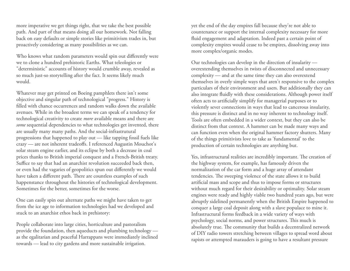more imperative we get things right, that we take the best possible path. And part of that means doing all our homework. Not falling back on easy defaults or simple stories like primitivism trades in, but proactively considering as many possibilities as we can.

Who knows what random parameters would spin out differently were we to clone a hundred prehistoric Earths. What teleologies or "deterministic" accounts of history would crumble away, revealed as so much just-so storytelling after the fact. It seems likely much would.

Whatever may get printed on Boeing pamphlets there isn't some objective and singular path of technological "progress." History is filled with chance occurrences and random walks down the available avenues. While in the broadest terms we can speak of a tendency for technological creativity to create *more* available means and there are *some* sequential dependencies to what technologies get invented, there are usually many many paths. And the social-infrastrutural progressions that happened to play out — like tapping fossil fuels like crazy — are not inherent tradeoffs. I referenced Augustin Mouchot's solar steam engine earlier, and its eclipse by both a decrease in coal prices thanks to British imperial conquest and a French-British treaty. Suffice to say that had an anarchist revolution succeeded back then, or even had the vagaries of geopolitics spun out differently we would have taken a different path. There are countless examples of such happenstance throughout the histories of technological development. Sometimes for the better, sometimes for the worse.

One can easily spin out alternate paths we might have taken to get from the ice age to information technologies had we developed and stuck to an anarchist ethos back in prehistory:

People collaborate into large cities, horticulture and pastoralism provide the foundation, then aqueducts and plumbing technology as the egalitarian and peaceful Harrappans were immediately inclined towards — lead to city gardens and more sustainable irrigation.

yet the end of the day empires fall because they're not able to countenance or support the internal complexity necessary for more fluid engagement and adaptation. Indeed past a certain point of complexity empires would cease to be empires, dissolving away into more complex/organic modes.

Our technologies can develop in the direction of insularity overextending themselves in twists of disconnected and unnecessary complexity — and at the same time they can also overextend themselves in overly simple ways that aren't responsive to the complex particulars of their environment and users. But additionally they can also integrate fluidly with these considerations. Although power itself often acts to artificially simplify for managerial purposes or to violently sever connections in ways that lead to cancerous insularity, this pressure is distinct and in no way inherent to technology itself. Tools are often embedded in a wider context, but they can also be distinct from that context. A hammer can be made many ways and can function even when the original hammer factory shutters. Many of the things primitivists love to take as 'fundamental' to the production of certain technologies are anything but.

Yes, infrastructural realities are incredibly important. The creation of the highway system, for example, has famously driven the normalization of the car form and a huge array of attendant tendencies. The sweeping violence of the state allows it to build artificial mass and scope and thus to impose forms or structures without much regard for their desirability or optimality. Solar steam engines were ready and highly viable two hundred years ago, but were abruptly sidelined permanently when the British Empire happened to conquer a large coal deposit along with a slave populace to mine it. Infrastructural forms feedback in a wide variety of ways with psychology, social norms, and power structures. This much is absolutely true. The community that builds a decentralized network of DIY radio towers stretching between villages to spread word about rapists or attempted marauders is going to have a resultant pressure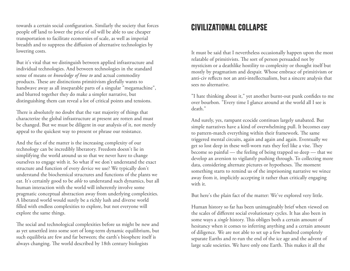towards a certain social configuration. Similarly the society that forces people off land to lower the price of oil will be able to use cheaper transportation to facilitate economies of scale, as well as imperial breadth and to suppress the diffusion of alternative technologies by lowering costs.

But it's vital that we distinguish between applied infrastructure and individual technologies. And between technologies in the standard sense of means or *knowledge of how to* and actual commodity products. These are distinctions primitivism gleefully wants to handwave away as all inseparable parts of a singular "megamachine", and blurred together they do make a simpler narrative, but distinguishing them can reveal a lot of critical points and tensions.

There is absolutely no doubt that the vast majority of things that characterize the global infrastructure at present are rotten and must be changed. But we must be diligent in our analysis of it, not merely appeal to the quickest way to present or phrase our resistance.

And the fact of the matter is the increasing complexity of our technology can be incredibly liberatory. Freedom doesn't lie in simplifying the world around us so that we never have to change ourselves to engage with it. So what if we don't understand the exact structure and function of every device we use? We typically don't understand the biochemical structures and functions of the plants we eat. It's certainly good to be *able* to understand such dynamics, but all human interaction with the world will inherently involve some pragmatic conceptual abstraction away from underlying complexities. A liberated world would surely be a richly lush and diverse world filled with endless complexities to explore, but not everyone will explore the same things.

The social and technological complexities before us might be new and as yet unsettled into some sort of long-term dynamic equilibrium, but such equilibria are few and far between; the earth's biosphere itself is always changing. The world described by 18th century biologists

### Civilizational Collapse

It must be said that I nevertheless occasionally happen upon the most relatable of primitivists. The sort of person persuaded not by mysticism or a deathlike hostility to complexity or thought itself but mostly by pragmatism and despair. Whose embrace of primitivism or anti-civ reflects not an anti-intellectualism, but a sincere analysis that sees no alternative.

"I hate thinking about it," yet another burnt-out punk confides to me over bourbon. "Every time I glance around at the world all I see is death."

And surely, yes, rampant ecocide continues largely unabated. But simple narratives have a kind of overwhelming pull. It becomes easy to pattern-match everything within their framework. The same triggered mental circuits, again and again and again. Eventually we get so lost deep in these well-worn ruts they feel like a vise. They become so painful — the feeling of being trapped so deep — that we develop an aversion to vigilantly pushing through. To collecting more data, considering alternate pictures or hypotheses. The moment something starts to remind us of the imprisoning narrative we wince away from it, implicitly accepting it rather than critically engaging with it.

But here's the plain fact of the matter: We've explored very little.

Human history so far has been unimaginably brief when viewed on the scales of different social evolutionary cycles. It has also been in some ways a *single* history. This obliges both a certain amount of hesitancy when it comes to inferring anything and a certain amount of diligence. We are not able to set up a few hundred completely separate Earths and re-run the end of the ice age and the advent of large scale societies. We have only one Earth. This makes it all the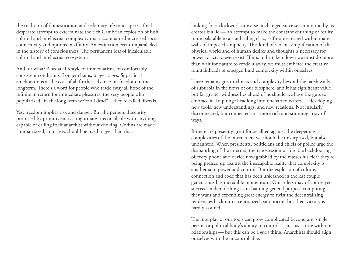the tradition of domestication and sedentary life to its apex: a final desperate attempt to exterminate the rich Cambrian explosion of lush cultural and intellectual complexity that accompanied increased social connectivity and options in affinity. An extinction event unparalleled in the history of consciousness. The permanent loss of incalculable cultural and intellectual ecosystems.

And for what? A sedate lifestyle of immediatism, of comfortably consistent conditions. Longer chains, bigger cages. Superficial ameliorations at the cost of all further advances in freedom in the longterm. There's a word for people who trade away all hope of the infinite in return for immediate pleasures, the very people who popularized "in the long term we're all dead"... they're called liberals.

Yes, freedom implies risk and danger. But the perpetual security promised by primitivism is a nightmare irreconcilable with anything capable of calling itself anarchist without choking. Coffins are made "human sized," our lives should be lived bigger than that.

looking for a clockwork universe unchanged since set in motion by its creator is a lie — an attempt to make the constant churning of reality more palatable to a staid ruling class, self-domesticated within many walls of imposed simplicity. This kind of violent simplification of the physical world and of human desires and thoughts is necessary for power to act, to even exist. If it is to be taken down we must do more than wait for nature to erode it away, we must embrace the creative fountainheads of engaged fluid complexity within ourselves.

There remains great richness and complexity beyond the harsh walls of suburbia in the flows of our biosphere, and it has significant value, but far greater wildness lies ahead of us should we have the guts to embrace it. To plunge headlong into uncharted waters — developing new tools, new understandings, and new relations. Not insularly disconnected, but connected in a more rich and stunning array of ways.

If there are presently great forces allied against the deepening complexities of the internet era we should be unsurprised, but also undaunted. When presidents, politicians and chiefs of police urge the dismantling of the internet, the repossession or forcible backdooring of every phone and device now grabbed by the masses it's clear they're being pressed up against the inescapable reality that complexity is anathema to power and control. But the explosion of culture, connection and code that has been unleashed in the last couple generations has incredible momentum. Our rulers may of course yet succeed in demolishing it, in banning general purpose computing as they want and expending great energy to twist the decentralizing tendencies back into a centralized panopticon, but their victory is hardly assured.

The interplay of our tools can grow complicated beyond any single person or political body's ability to control — just as is true with our relationships — but this can be a *good* thing. Anarchists should align ourselves with the uncontrollable.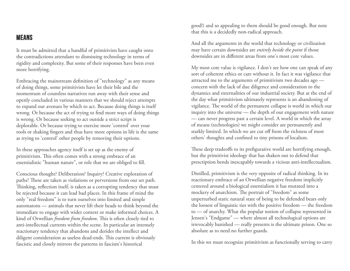#### **MEANS**

It must be admitted that a handful of primitivists have caught onto the contradictions attendant to dismissing technology in terms of rigidity and complexity. But some of their responses have been even more horrifying.

Embracing the mainstream definition of "technology" as any means of doing things, some primitivists have let their bile and the momentum of countless narratives run away with their sense and openly concluded in various manners that we should reject attempts to expand our avenues by which to act. Because doing things is itself wrong. Or because the act of trying to find more ways of doing things is wrong. Or because seeking to act outside a strict script is deplorable. Or because trying to exercise more 'control' over your tools or shaking fingers and thus have more options in life is the same as trying to 'control' other people by removing their options.

In these approaches agency itself is set up as the enemy of primitivism. This often comes with a strong embrace of an essentialistic "human nature", or role that we are obliged to fill.

Conscious thought? Deliberation? Inquiry? Creative exploration of paths? These are taken as violations or perversions from our set path. Thinking, reflection itself, is taken as a corrupting tendency that must be rejected because it can lead bad places. In this frame of mind the only "real freedom" is to turn ourselves into limited and simple automatons — animals that never lift their heads to think beyond the immediate to engage with wider context or make informed choices. A kind of Orwellian *freedom from freedom*. This is often closely tied to anti-intellectual currents within the scene. In particular an intensely reactionary tendency that abandons and derides the intellect and diligent consideration as useless dead-ends. This current is obviously fascistic and closely mirrors the patterns in fascism's historical

good!) and so appealing to them should be good enough. But note that this is a decidedly non-radical approach.

And all the arguments in the world that technology or civilization may have certain downsides are *entirely beside the point* if those downsides are in different areas from one's most core values.

My most core value is vigilance. I don't see how one can speak of any sort of coherent ethics or care without it. In fact it was vigilance that attracted me to the arguments of primitivism two decades ago concern with the lack of due diligence and consideration to the dynamics and externalities of our industrial society. But at the end of the day what primitivism ultimately represents is an abandoning of vigilance. The world of the permanent collapse is world in which our inquiry into the universe — the depth of our engagement with nature — can never progress past a certain level. A world in which the array of means (technologies) we might consider are permanently and starkly limited. In which we are cut off from the richness of most others' thoughts and confined to tiny prisons of localism.

These deep tradeoffs to its prefigurative world are horrifying enough, but the primitivist ideology that has shaken out to defend that prescription bends inescapably towards a vicious anti-intellectualism.

Distilled, primitivism is the very opposite of radical thinking. In its reactionary embrace of an Orwellian negative freedom implicitly centered around a biological essentialism it has mutated into a mockery of anarchism. The portrait of "freedom" as some unperturbed static natural state of being to be defended bears only the loosest of linguistic ties with the positive freedom — the freedom to — of anarchy. What the popular notion of collapse represented in Jensen's "Endgame" — where almost all technological options are irrevocably banished — really presents is the ultimate prison. One so absolute as to need no further guards.

In this we must recognize primitivism as functionally serving to carry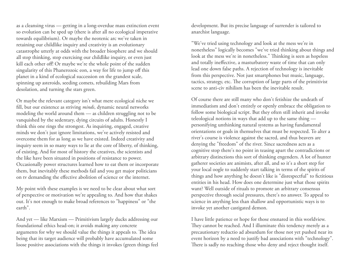as a cleansing virus — getting in a long-overdue mass extinction event so evolution can be sped up (there is after all no ecological imperative towards equilibrium). Or maybe the neotenic arc we've taken in retaining our childlike inquiry and creativity is an evolutionary catastrophe utterly at odds with the broader biosphere and we should all stop thinking, stop exercising our childlike inquiry, or even just kill each other off! Or maybe we're the whole point of the sudden singularity of this Phanerozoic eon, a way for life to jump off this planet in a kind of ecological succession on the grandest scale, spinning up asteroids, seeding comets, rebuilding Mars from desolation, and turning the stars green.

Or maybe the relevant category isn't what mere ecological niche we fill, but our existence as striving *minds*, dynamic neural networks modeling the world around them — as children struggling not to be vanquished by the sedentary, dying circuits of adults. Honestly I think this one rings the strongest. As inquiring, engaged, creative minds we don't just ignore limitations, we've actively resisted and overcome them for as long as we have existed. Indeed creativity and inquiry seem in so many ways to lie at the core of liberty, of thinking, of existing. And for most of history the creatives, the scientists and the like have been situated in positions of resistance to power. Occasionally power structures learned how to eat them or incorporate them, but inevitably these methods fail and you get major politicians on tv demanding the effective abolition of science or the internet.

My point with these examples is we need to be clear about what sort of perspective or motivation we're appealing to. And how that shakes out. It's not enough to make broad references to "happiness" or "the earth".

And yet — like Marxism — Primitivism largely ducks addressing our foundational ethics head-on; it avoids making any concrete arguments for why we should value the things it appeals to. The idea being that its target audience will probably have accumulated some loose positive associations with the things it invokes (green things feel development. But its precise language of surrender is tailored to anarchist language.

"We've tried using technology and look at the mess we're in nonetheless" logically becomes "we've tried thinking about things and look at the mess we're in nonetheless." Thinking is seen as hopeless and totally ineffective, a masturbatory waste of time that can only lead one down false paths. A rejection of technology is inevitable from this perspective. Not just smartphones but music, language, tactics, strategy, etc. The corruption of large parts of the primitivist scene to anti-civ nihilism has been the inevitable result.

Of course there are still many who don't fetishize the undeath of immediatism and don't entirely or openly embrace the obligation to follow some biological script. But they often still inherit and invoke teleological notions in ways that add up to the same thing personifying unthinking natural systems as having fundamental orientations or goals in themselves that must be respected. To alter a river's course is violence against the sacred, and thus beavers are denying the "freedom" of the river. Since sacredness acts as a cognitive stop there's no point in teasing apart the contradictions or arbitrary distinctions this sort of thinking engenders. A lot of hunter gatherer societies are animists, after all, and so it's a short step for your local oogle to suddenly start talking in terms of the spirits of things and how anything he doesn't like is "disrespectful" to fictitious entities in his head. How does one determine just what those spirits want? Well outside of rituals to promote an arbitrary consensus perspective through social pressures, there's no answer. To appeal to science in anything less than shallow and opportunistic ways is to invoke yet another castigated demon.

I have little patience or hope for those ensnared in this worldview. They cannot be reached. And I illuminate this tendency merely as a precautionary reductio ad absurdum for those not yet pushed near its event horizon by a need to justify bad associations with "technology". There is sadly no reaching those who deny and reject thought itself.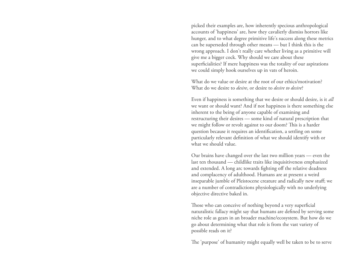picked their examples are, how inherently specious anthropological accounts of 'happiness' are, how they cavalierly dismiss horrors like hunger, and to what degree primitive life's success along these metrics can be superseded through other means — but I think this is the wrong approach. I don't really care whether living as a primitive will give me a bigger cock. Why should we care about these superficialities? If mere happiness was the totality of our aspirations we could simply hook ourselves up in vats of heroin.

What do we value or desire at the root of our ethics/motivation? What do we desire to *desire*, or desire to *desire to desire*?

Even if happiness is something that we desire or should desire, is it *all* we want or should want? And if not happiness is there something else inherent to the being of anyone capable of examining and restructuring their desires — some kind of natural prescription that we might follow or revolt against to our doom? This is a harder question because it requires an identification, a settling on some particularly relevant definition of what we should identify with or what we should value.

Our brains have changed over the last two million years — even the last ten thousand — childlike traits like inquisitiveness emphasized and extended. A long arc towards fighting off the relative deadness and complacency of adulthood. Humans are at present a weird inseparable jumble of Pleistocene creature and radically new stuff; we are a number of contradictions physiologically with no underlying objective directive baked in.

Those who can conceive of nothing beyond a very superficial naturalistic fallacy might say that humans are defined by serving some niche role as gears in an broader machine/ecosystem. But how do we go about determining what that role is from the vast variety of possible reads on it?

The 'purpose' of humanity might equally well be taken to be to serve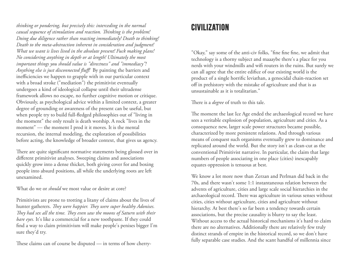*thinking or pondering, but precisely this: interceding in the normal causal sequence of stimulation and reaction. Thinking is the problem! Doing due diligence rather than reacting immediately! Death to thinking! Death to the meta-abstraction inherent in consideration and judgment! What we want is lives lived in the absolute present! Fuck making plans! No considering anything in depth or at length! Ultimately the most important things you should value is "directness" and "immediacy"! Anything else is just disconnected fluff!* By painting the barriers and inefficiencies we happen to grapple with in our particular context with a broad stroke ("mediation") the primitivist eventually undergoes a kind of ideological collapse until their ultradense framework allows no escape, no further cognitive motion or critique. Obviously, as psychological advice within a limited context, a greater degree of grounding or awareness of the present can be useful, but when people try to build full-fledged philosophies out of "living in the moment" the only result is death worship. A rock "lives in the moment" — the moment I prod it it moves. It is the mental recursion, the internal modeling, the exploration of possibilities before acting, the knowledge of broader context, that gives us agency.

There are quite significant normative statements being glossed over in different primitivist analyses. Sweeping claims and associations quickly grow into a dense thicket, both giving cover for and boxing people into absurd positions, all while the underlying roots are left unexamined.

What do we or *should* we most value or desire at core?

Primitivists are prone to trotting a litany of claims about the lives of hunter gatherers. *They were happier. They were super healthy Adonises. They had sex all the time. They even saw the moons of Saturn with their bare eyes.* It's like a commercial for a new toothpaste. If they could find a way to claim primitivism will make people's penises bigger I'm sure they'd try.

These claims can of course be disputed — in terms of how cherry-

## Civilization

"Okay," say some of the anti-civ folks, "fine fine fine, we admit that technology is a thorny subject and maaaybe there's a place for you nerds with your windmills and wifi routers in the ruins. But surely we can all agree that the entire edifice of our existing world is the product of a single horrific leviathan, a genocidal chain-reaction set off in prehistory with the mistake of agriculture and that is as unsustainable as it is totalitarian."

There is a *degree* of truth to this tale.

The moment the last Ice Age ended the archaeological record we have sees a veritable explosion of population, agriculture and cities. As a consequence new, larger scale power structures became possible, characterized by more persistent relations. And through various means of conquest such organisms eventually grew to dominance and replicated around the world. But the story isn't as clean-cut as the conventional Primitivist narrative. In particular, the claim that large numbers of people associating in one place (cities) inescapably equates oppression is tenuous at best.

We know a lot more now than Zerzan and Perlman did back in the 70s, and there wasn't some 1:1 instantaneous relation between the advents of agriculture, cities and large scale social hierarchies in the archaeological record. There was agriculture in various senses without cities, cities without agriculture, cities and agriculture without hierarchy. At best there's so far been a tendency towards certain associations, but the precise causality is blurry to say the least. Without access to the actual historical mechanisms it's hard to claim there are no alternatives. Additionally there are relatively few truly distinct strands of empire in the historical record, so we don't have fully separable case studies. And the scant handful of millennia since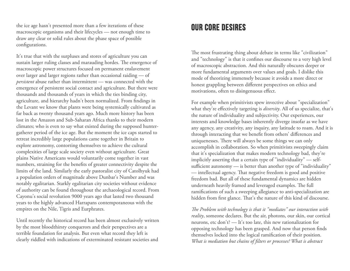the ice age hasn't presented more than a few iterations of these macroscopic organisms and their lifecycles — not enough time to draw any clear or solid rules about the phase space of possible configurations.

It's true that with the surpluses and stores of agriculture you can sustain larger ruling classes and marauding hordes. The emergence of macroscopic power structures focused on permanent enslavement over larger and larger regions rather than occasional raiding — of *persistent* abuse rather than intermittent — was connected with the emergence of persistent social contact and agriculture. But there were thousands and thousands of years in which the ties binding city, agriculture, and hierarchy hadn't been normalized. From findings in the Levant we know that plants were being systemically cultivated as far back as twenty thousand years ago. Much more history has been lost in the Amazon and Sub-Saharan Africa thanks to their modern climates; who is even to say what existed during the supposed huntergatherer period of the ice age. But the moment the ice caps started to retreat incredibly large populations came together in Britain to explore astronomy, contorting themselves to achieve the cultural complexities of large scale society even without agriculture. Great plains Native Americans would voluntarily come together in vast numbers, straining for the benefits of greater connectivity despite the limits of the land. Similarly the early pastoralist city of Catolhyuk had a population orders of magnitude above Dunbar's Number and was notably egalitarian. Starkly egalitarian city societies without evidence of authority can be found throughout the archaeological record. From Cayonu's social revolution 9000 years ago that lasted two thousand years to the highly advanced Harrapans contemporaneous with the empires on the Nile, Tigris and Eurphrates.

Until recently the historical record has been almost exclusively written by the most bloodthirsty conquerors and their perspectives are a terrible foundation for analysis. But even what record they left is clearly riddled with indications of exterminated resistant societies and

### Our Core Desires

The most frustrating thing about debate in terms like "civilization" and "technology" is that it confines our discourse to a very high level of macroscopic abstraction. And this naturally obscures deeper or more fundamental arguments over values and goals. I dislike this mode of theorizing immensely because it avoids a more direct or honest grappling between different perspectives on ethics and motivations, often to disingenuous effect.

For example when primitivists spew invective about "specialization" what they're effectively targeting is *diversity*. All of us specialize, that's the nature of individuality and subjectivity. Our experiences, our interests and knowledge bases inherently diverge insofar as we have any agency, any creativity, any inquiry, any latitude to roam. And it is through interacting that we benefit from others' differences and uniquenesses. There will always be some things we can only accomplish in collaboration. So when primitivists sweepingly claim that it's specialization that makes modern technology bad, they're implicitly asserting that a certain type of "individuality" — selfsufficient autonomy — is better than another type of "individuality" — intellectual agency. That negative freedom is good and positive freedom bad. But all of these fundamental dynamics are hidden underneath heavily framed and leveraged examples. The full ramifications of such a sweeping allegiance to anti-specialization are hidden from first glance. That's the nature of this kind of discourse.

*The Problem with technology is that it "mediates" our interaction with reality*, someone declares. But the air, photons, our skin, our cortical neurons, etc don't? — It's too late, this new rationalization for opposing technology has been grasped. And now that person finds themselves locked into the logical ramification of their position. *What is mediation but chains of filters or processes? What is abstract*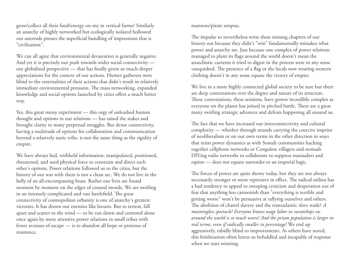grow/collect all their food/energy on site in vertical farms? Similarly an anarchy of highly networked but ecologically isolated hollowed out asteroids presses the superficial bundling of impressions that is "civilization".

We can all agree that environmental devastation is generally negative. And yet it is precisely our push towards wider social connectivity our globalized perspective — that has finally given us much deeper appreciations for the context of our actions. Hunter gatherers were blind to the externalities of their actions that didn't result in relatively immediate environmental pressures. The mass networking, expanded knowledge and social options launched by cities offers a much better way.

Yes, this great messy experiment — this orgy of unleashed human thought and options in our relations — has raised the stakes and brought clarity to many perpetual struggles. But dense connectivity, having a multitude of options for collaboration and communication beyond a relatively static tribe, is not the same thing as the rigidity of empire.

We have always lied, withheld information, manipulated, positioned, threatened, and used physical force to constrain and direct each other's options. Power relations followed us to the cities, but the history of our war with them is not a clean arc. We do not live in the belly of an all-encompassing beast. Rather our lives are found moment by moment on the edges of crossed swords. We are swirling in an intensely complicated and vast battlefield. The great connectivity of cosmopolitan urbanity is one of anarchy's greatest victories. It has drawn our enemies like locusts. But to retreat, fall apart and scatter to the wind — to be run down and cornered alone once again by more attentive power relations in small tribes with fewer avenues of escape — is to abandon all hope or pretense of resistance.

maroons/pirate utopias.

The impulse to nevertheless write these missing chapters of our history out because they didn't "win" fundamentally mistakes what power and anarchy are. Just because one complex of power relations managed to plant its flags around the world doesn't mean the anarchistic currents it tried to digest in the process were in any sense vanquished. The presence of a flag or the locals now wearing western clothing doesn't in any sense equate the victory of empire.

We live in a more highly connected global society to be sure but there are deep contestations over the degree and nature of its structure. These contestations, these tensions, have grown incredibly complex as everyone on the planet has joined in pitched battle. There are a great many swirling strategic advances and defeats happening all around us.

The fact that we have increased our interconnectivity and cultural complexity — whether through strands carrying the coercive imprint of neoliberalism or on our own terms in the other direction in ways that resist power dynamics as with Somali communities hacking together cellphone networks or Congolese villagers and nomads DIYing radio networks to collaborate to suppress marauders and rapists — does not equate surrender to an imperial logic.

The forces of power are quite showy today, but they are not always necessarily stronger or more repressive in effect. The radical milieu has a bad tendency to appeal to sweeping cynicism and desperation out of fear that anything less cartoonish than "everything is terrible and getting worse" won't be persuasive at rallying ourselves and others. The abolition of chattel slavery and the transatlantic slave trade? *A meaningless spectacle! Everyone knows wage labor in sweatshops etc around the world is so much worse! And the prison population is larger in real terms, even if radically smaller in percentage!* We end up aggressively, rabidly blind to improvements. As others have noted, this fetishization often leaves us befuddled and incapable of response when we start winning.